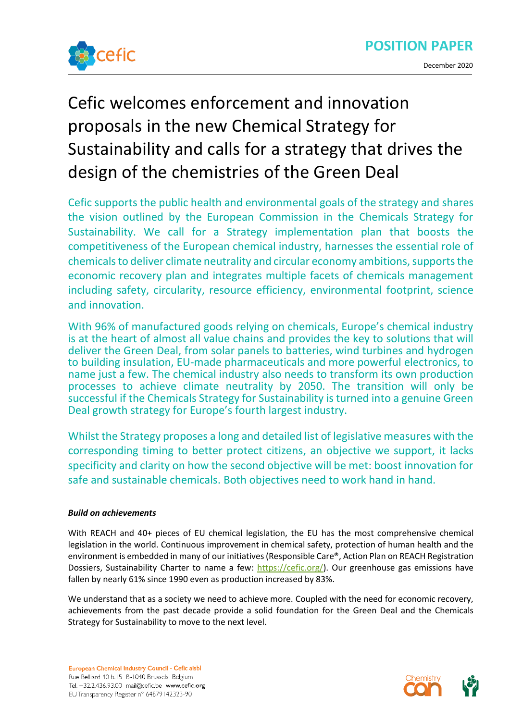

# Cefic welcomes enforcement and innovation proposals in the new Chemical Strategy for Sustainability and calls for a strategy that drives the design of the chemistries of the Green Deal

Cefic supports the public health and environmental goals of the strategy and shares the vision outlined by the European Commission in the Chemicals Strategy for Sustainability. We call for a Strategy implementation plan that boosts the competitiveness of the European chemical industry, harnesses the essential role of chemicals to deliver climate neutrality and circular economy ambitions, supports the economic recovery plan and integrates multiple facets of chemicals management including safety, circularity, resource efficiency, environmental footprint, science and innovation.

With 96% of manufactured goods relying on chemicals, Europe's chemical industry is at the heart of almost all value chains and provides the key to solutions that will deliver the Green Deal, from solar panels to batteries, wind turbines and hydrogen to building insulation, EU-made pharmaceuticals and more powerful electronics, to name just a few. The chemical industry also needs to transform its own production processes to achieve climate neutrality by 2050. The transition will only be successful if the Chemicals Strategy for Sustainability is turned into a genuine Green Deal growth strategy for Europe's fourth largest industry.

Whilst the Strategy proposes a long and detailed list of legislative measures with the corresponding timing to better protect citizens, an objective we support, it lacks specificity and clarity on how the second objective will be met: boost innovation for safe and sustainable chemicals. Both objectives need to work hand in hand.

# *Build on achievements*

With REACH and 40+ pieces of EU chemical legislation, the EU has the most comprehensive chemical legislation in the world. Continuous improvement in chemical safety, protection of human health and the environment is embedded in many of our initiatives (Responsible Care®, Action Plan on REACH Registration Dossiers, Sustainability Charter to name a few: [https://cefic.org/\)](https://cefic.org/). Our greenhouse gas emissions have fallen by nearly 61% since 1990 even as production increased by 83%.

We understand that as a society we need to achieve more. Coupled with the need for economic recovery, achievements from the past decade provide a solid foundation for the Green Deal and the Chemicals Strategy for Sustainability to move to the next level.

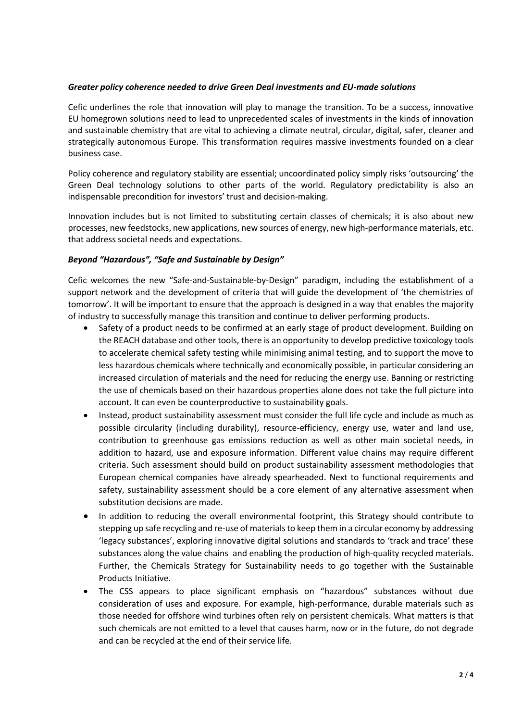# *Greater policy coherence needed to drive Green Deal investments and EU-made solutions*

Cefic underlines the role that innovation will play to manage the transition. To be a success, innovative EU homegrown solutions need to lead to unprecedented scales of investments in the kinds of innovation and sustainable chemistry that are vital to achieving a climate neutral, circular, digital, safer, cleaner and strategically autonomous Europe. This transformation requires massive investments founded on a clear business case.

Policy coherence and regulatory stability are essential; uncoordinated policy simply risks 'outsourcing' the Green Deal technology solutions to other parts of the world. Regulatory predictability is also an indispensable precondition for investors' trust and decision-making.

Innovation includes but is not limited to substituting certain classes of chemicals; it is also about new processes, new feedstocks, new applications, new sources of energy, new high-performance materials, etc. that address societal needs and expectations.

#### *Beyond "Hazardous", "Safe and Sustainable by Design"*

Cefic welcomes the new "Safe-and-Sustainable-by-Design" paradigm, including the establishment of a support network and the development of criteria that will guide the development of 'the chemistries of tomorrow'. It will be important to ensure that the approach is designed in a way that enables the majority of industry to successfully manage this transition and continue to deliver performing products.

- Safety of a product needs to be confirmed at an early stage of product development. Building on the REACH database and other tools, there is an opportunity to develop predictive toxicology tools to accelerate chemical safety testing while minimising animal testing, and to support the move to less hazardous chemicals where technically and economically possible, in particular considering an increased circulation of materials and the need for reducing the energy use. Banning or restricting the use of chemicals based on their hazardous properties alone does not take the full picture into account. It can even be counterproductive to sustainability goals.
- Instead, product sustainability assessment must consider the full life cycle and include as much as possible circularity (including durability), resource-efficiency, energy use, water and land use, contribution to greenhouse gas emissions reduction as well as other main societal needs, in addition to hazard, use and exposure information. Different value chains may require different criteria. Such assessment should build on product sustainability assessment methodologies that European chemical companies have already spearheaded. Next to functional requirements and safety, sustainability assessment should be a core element of any alternative assessment when substitution decisions are made.
- In addition to reducing the overall environmental footprint, this Strategy should contribute to stepping up safe recycling and re-use of materials to keep them in a circular economy by addressing 'legacy substances', exploring innovative digital solutions and standards to 'track and trace' these substances along the value chains and enabling the production of high-quality recycled materials. Further, the Chemicals Strategy for Sustainability needs to go together with the Sustainable Products Initiative.
- The CSS appears to place significant emphasis on "hazardous" substances without due consideration of uses and exposure. For example, high-performance, durable materials such as those needed for offshore wind turbines often rely on persistent chemicals. What matters is that such chemicals are not emitted to a level that causes harm, now or in the future, do not degrade and can be recycled at the end of their service life.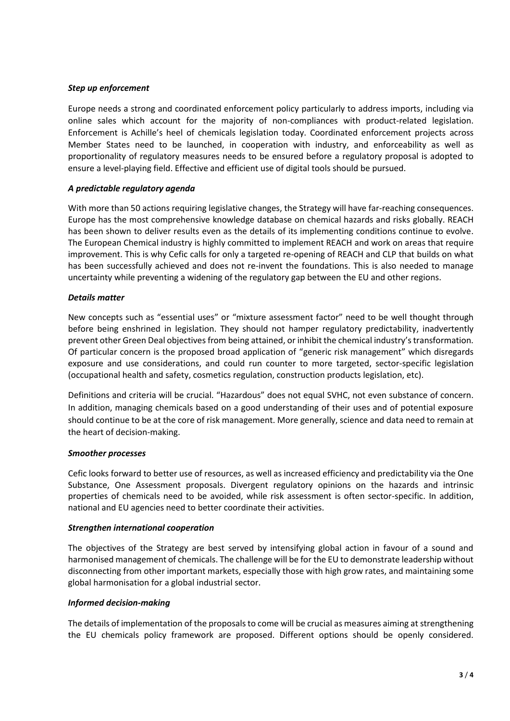## *Step up enforcement*

Europe needs a strong and coordinated enforcement policy particularly to address imports, including via online sales which account for the majority of non-compliances with product-related legislation. Enforcement is Achille's heel of chemicals legislation today. Coordinated enforcement projects across Member States need to be launched, in cooperation with industry, and enforceability as well as proportionality of regulatory measures needs to be ensured before a regulatory proposal is adopted to ensure a level-playing field. Effective and efficient use of digital tools should be pursued.

# *A predictable regulatory agenda*

With more than 50 actions requiring legislative changes, the Strategy will have far-reaching consequences. Europe has the most comprehensive knowledge database on chemical hazards and risks globally. REACH has been shown to deliver results even as the details of its implementing conditions continue to evolve. The European Chemical industry is highly committed to implement REACH and work on areas that require improvement. This is why Cefic calls for only a targeted re-opening of REACH and CLP that builds on what has been successfully achieved and does not re-invent the foundations. This is also needed to manage uncertainty while preventing a widening of the regulatory gap between the EU and other regions.

# *Details matter*

New concepts such as "essential uses" or "mixture assessment factor" need to be well thought through before being enshrined in legislation. They should not hamper regulatory predictability, inadvertently prevent other Green Deal objectives from being attained, or inhibit the chemical industry's transformation. Of particular concern is the proposed broad application of "generic risk management" which disregards exposure and use considerations, and could run counter to more targeted, sector-specific legislation (occupational health and safety, cosmetics regulation, construction products legislation, etc).

Definitions and criteria will be crucial. "Hazardous" does not equal SVHC, not even substance of concern. In addition, managing chemicals based on a good understanding of their uses and of potential exposure should continue to be at the core of risk management. More generally, science and data need to remain at the heart of decision-making.

#### *Smoother processes*

Cefic looks forward to better use of resources, as well as increased efficiency and predictability via the One Substance, One Assessment proposals. Divergent regulatory opinions on the hazards and intrinsic properties of chemicals need to be avoided, while risk assessment is often sector-specific. In addition, national and EU agencies need to better coordinate their activities.

#### *Strengthen international cooperation*

The objectives of the Strategy are best served by intensifying global action in favour of a sound and harmonised management of chemicals. The challenge will be for the EU to demonstrate leadership without disconnecting from other important markets, especially those with high grow rates, and maintaining some global harmonisation for a global industrial sector.

#### *Informed decision-making*

The details of implementation of the proposals to come will be crucial as measures aiming at strengthening the EU chemicals policy framework are proposed. Different options should be openly considered.